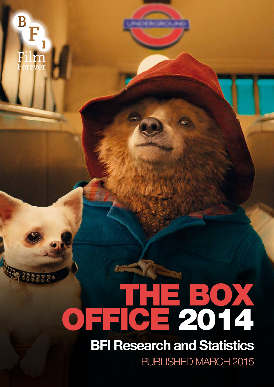$\overline{\mathbf{B}}$ .**lm**<br>rever

# THE BOX OFFICE 2014

## **BFI Research and Statistics**

PUBLISHED MARCH 2015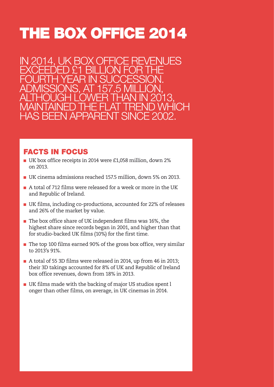## THE BOX OFFICE 2014

ENUES EXCEEDED £1 BILLION FOR THE FOURTH YEAR IN SUCCESSION. ADMISSIONS, AT 157.5 MILLION, ALTHOUGH LOWER THAN IN 2013, MAINTAINED THE FLAT TREND WHICH HAS BEEN APPARENT SINCE 2002.

### FACTS IN FOCUS

- UK box office receipts in 2014 were £1,058 million, down 2% on 2013.
- UK cinema admissions reached 157.5 million, down 5% on 2013.
- A total of 712 films were released for a week or more in the UK and Republic of Ireland.
- UK films, including co-productions, accounted for 22% of releases and 26% of the market by value.
- The box office share of UK independent films was 16%, the highest share since records began in 2001, and higher than that for studio-backed UK films (10%) for the first time.
- The top 100 films earned 90% of the gross box office, very similar to 2013's 91%.
- A total of 55 3D films were released in 2014, up from 46 in 2013; their 3D takings accounted for 8% of UK and Republic of Ireland box office revenues, down from 18% in 2013.
- UK films made with the backing of major US studios spent l onger than other films, on average, in UK cinemas in 2014.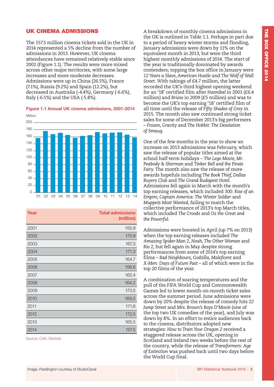#### UK CINEMA ADMISSIONS

The 157.5 million cinema tickets sold in the UK in 2014 represented a 5% decline from the number of admissions in 2013. However, UK cinema attendances have remained relatively stable since 2002 (Figure 1.1). The results were more mixed across other major territories, with some large increases and more moderate decreases. Admissions were up in China (26.5%), France (7.1%), Russia (9.2%) and Spain (12.2%), but decreased in Australia (-4.4%), Germany (-6.6%), Italy (-6.5%) and the USA (-5.8%).

#### **Figure 1.1 Annual UK cinema admissions, 2001-2014**



| Year | <b>Total admissions</b><br>(million) |
|------|--------------------------------------|
| 2001 | 155.9                                |
| 2002 | 175.9                                |
| 2003 | 167.3                                |
| 2004 | 171.3                                |
| 2005 | 164.7                                |
| 2006 | 156.6                                |
| 2007 | 162.4                                |
| 2008 | 164.2                                |
| 2009 | 173.5                                |
| 2010 | 169.2                                |
| 2011 | 171.6                                |
| 2012 | 172.5                                |
| 2013 | 165.5                                |
| 2014 | 157.5                                |

Source: CAA, Rentrak

A breakdown of monthly cinema admissions in the UK is outlined in Table 1.1. Perhaps in part due to a period of heavy winter storms and flooding, January admissions were down by 11% on the equivalent month in 2013, but were the third highest monthly admissions of 2014. The start of the year is traditionally dominated by awards contenders; topping the box office in January were *12 Years a Slave, American Hustle* and *The Wolf of Wall Street.* With takings of £4.7 million, the latter recorded the UK's third highest opening weekend for an '18' certified film after *Hannibal* in 2001 (£6.4 million) and *Brüno* in 2009 (£5 million) and was to become the UK's top earning '18' certified film of all time until the release of *Fifty Shades of Grey* in 2015. The month also saw continued strong ticket sales for some of December 2013's big performers – *Frozen, Gravity* and *The Hobbit: The Desolation of Smaug.* 

One of the few months in the year to show an increase on 2013 admissions was February, which saw the release of popular titles aimed at the school half-term holidays – *The Lego Movie, Mr. Peabody & Sherman* and *Tinker Bell and the Pirate Fairy.* The month also saw the release of more awards hopefuls including *The Book Thief, Dallas Buyers Club* and *The Grand Budapest Hotel.*  Admissions fell again in March with the month's top earning releases, which included *300: Rise of an Empire, Captain America: The Winter Soldier* and *Muppets Most Wanted,* failing to match the collective performance of 2013's top March titles, which included *The Croods* and *Oz the Great and the Powerful.* 

Admissions were boosted in April (up 7% on 2013) when the top earning releases included *The Amazing Spider-Man 2, Noah, The Other Woman* and *Rio 2,* but fell again in May despite strong performances from some of 2014's top earning films – *Bad Neighbours, Godzilla, Maleficent* and *X-Men: Days of Future Past –* all of which were in the top 20 films of the year.

A combination of soaring temperatures and the pull of the FIFA World Cup and Commonwealth Games led to lower month-on-month ticket sales across the summer period. June admissions were down by 20% despite the release of comedy hits *22 Jump Street* and *Mrs. Brown's Boys D'Movie* (one of the top two UK comedies of the year), and July was down by 8%. In an effort to entice audiences back to the cinema, distributors adopted new strategies: *How to Train Your Dragon 2* received a staggered release across the UK, opening in Scotland and Ireland two weeks before the rest of the country, while the release of *Transformers: Age of Extinction* was pushed back until two days before the World Cup final.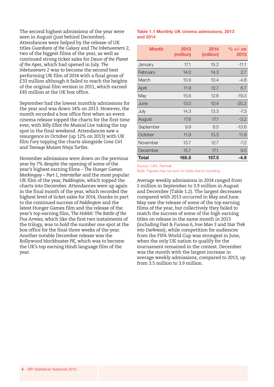The second highest admissions of the year were seen in August (just behind December). Attendances were helped by the release of UK titles *Guardians of the Galaxy* and *The Inbetweeners 2*, two of the biggest films of the year, as well as continued strong ticket sales for *Dawn of the Planet of the Apes*, which had opened in July. *The Inbetweeners 2* was to become the second best performing UK film of 2014 with a final gross of £33 million although it failed to reach the heights of the original film version in 2011, which earned £45 million at the UK box office.

September had the lowest monthly admissions for the year and was down 14% on 2013. However, the month recorded a box office first when an event cinema release topped the charts for the first time ever, with *Billy Elliot the Musical Live* taking the top spot in the final weekend. Attendances saw a resurgence in October (up 12% on 2013) with UK film *Fury* topping the charts alongside *Gone Girl* and *Teenage Mutant Ninja Turtles.*

November admissions were down on the previous year by 7% despite the opening of some of the year's highest earning films – *The Hunger Games: Mockingjay – Part 1, Interstellar* and the most popular UK film of the year, *Paddington,* which topped the charts into December. Attendances were up again in the final month of the year, which recorded the highest level of ticket sales for 2014, thanks in part to the continued success of *Paddington* and the latest Hunger Games film and the release of the year's top earning film, T*he Hobbit: The Battle of the Five Armies,* which like the first two instalments of the trilogy, was to hold the number one spot at the box office for the final three weeks of the year. Another notable December release was the Bollywood blockbuster *PK,* which was to become the UK's top earning Hindi language film of the year.

#### **Table 1.1 Monthly UK cinema admissions, 2013 and 2014**

| <b>Month</b> | 2013<br>(million) | 2014<br>(million) | $\% +/-$ on<br>2013 |
|--------------|-------------------|-------------------|---------------------|
| January      | 17.1              | 15.2              | $-11.1$             |
| February     | 14.0              | 14.3              | 2.7                 |
| March        | 10.9              | 10.4              | $-4.8$              |
| April        | 11.9              | 12.7              | 6.7                 |
| May          | 15.6              | 12.6              | $-19.3$             |
| June         | 13.0              | 10.4              | $-20.2$             |
| July         | 14.3              | 13.3              | $-7.3$              |
| August       | 17.6              | 17.1              | $-3.2$              |
| September    | 9.9               | 8.5               | $-13.8$             |
| October      | 11.9              | 13.3              | 11.9                |
| November     | 13.7              | 12.7              | $-7.2$              |
| December     | 15.7              | 17.1              | 9.0                 |
| Total        | 165.5             | 157.5             | -4.9                |

Source: CAA, Rentrak

Note: Figures may not sum to totals due to rounding.

Average weekly admissions in 2014 ranged from 2 million in September to 3.9 million in August and December (Table 1.2). The largest decreases compared with 2013 occurred in May and June. May saw the release of some of the top earning films of the year, but collectively they failed to match the success of some of the high earning titles on release in the same month in 2013 (including *Fast & Furious 6, Iron Man 3* and *Star Trek into Darkness*), while competition for audiences from the FIFA World Cup was strongest in June, when the only UK nation to qualify for the tournament remained in the contest. December was the month with the largest increase in average weekly admissions, compared to 2013, up from 3.5 million to 3.9 million.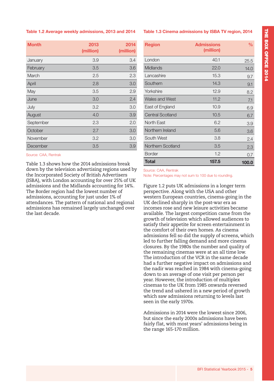#### **Table 1.2 Average weekly admissions, 2013 and 2014**

| <b>Month</b> | 2013<br>(million) | 2014<br>(million) |
|--------------|-------------------|-------------------|
| January      | 3.9               | 3.4               |
| February     | 3.5               | 3.6               |
| March        | 2.5               | 2.3               |
| April        | 2.8               | 3.0               |
| May          | 3.5               | 2.9               |
| June         | 3.0               | 2.4               |
| July         | 3.2               | 3.0               |
| August       | 4.0               | 3.9               |
| September    | 2.3               | 2.0               |
| October      | 2.7               | 3.0               |
| November     | 3.2               | 3.0               |
| December     | 3.5               | 3.9               |

Source: CAA, Rentrak

Table 1.3 shows how the 2014 admissions break down by the television advertising regions used by the Incorporated Society of British Advertisers (ISBA), with London accounting for over 25% of UK admissions and the Midlands accounting for 14%. The Border region had the lowest number of admissions, accounting for just under 1% of attendances. The pattern of national and regional admissions has remained largely unchanged over the last decade.

#### **Table 1.3 Cinema admissions by ISBA TV region, 2014**

| <b>Region</b>           | <b>Admissions</b><br>(million) | $\frac{0}{\alpha}$ |
|-------------------------|--------------------------------|--------------------|
| London                  | 40.1                           | 25.5               |
| Midlands                | 22.O                           | 14.0               |
| Lancashire              | 15.3                           | 9.7                |
| Southern                | 14.3                           | 9.1                |
| Yorkshire               | 12.9                           | 8.2                |
| Wales and West          | 11.2                           | 7.1                |
| East of England         | 10.9                           | 6.9                |
| <b>Central Scotland</b> | 10.5                           | 6.7                |
| North Fast              | 6.2                            | 3.9                |
| Northern Ireland        | 5.6                            | 3.6                |
| South West              | 3.8                            | 2.4                |
| Northern Scotland       | 3.5                            | 2.3                |
| <b>Border</b>           | 1.2                            | 0.7                |
| Total                   | 157.5                          | 100.0              |

Source: CAA, Rentrak Note: Percentages may not sum to 100 due to rounding.

Figure 1.2 puts UK admissions in a longer term perspective. Along with the USA and other western European countries, cinema-going in the UK declined sharply in the post-war era as incomes rose and new leisure activities became available. The largest competition came from the growth of television which allowed audiences to satisfy their appetite for screen entertainment in the comfort of their own homes. As cinema admissions fell so did the supply of screens, which led to further falling demand and more cinema closures. By the 1980s the number and quality of the remaining cinemas were at an all time low. The introduction of the VCR in the same decade had a further negative impact on admissions and the nadir was reached in 1984 with cinema-going down to an average of one visit per person per year. However, the introduction of multiplex cinemas to the UK from 1985 onwards reversed the trend and ushered in a new period of growth which saw admissions returning to levels last seen in the early 1970s.

Admissions in 2014 were the lowest since 2006, but since the early 2000s admissions have been fairly flat, with most years' admissions being in the range 165-170 million.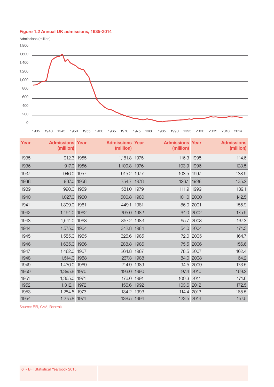#### **Figure 1.2 Annual UK admissions, 1935-2014**



| Year | <b>Admissions Year</b><br>(million) |      | <b>Admissions Year</b><br>(million) |      | <b>Admissions Year</b><br>(million) |           | <b>Admissions</b><br>(million) |
|------|-------------------------------------|------|-------------------------------------|------|-------------------------------------|-----------|--------------------------------|
| 1935 | 912.3 1955                          |      | 1,181.8 1975                        |      | 116.3 1995                          |           | 114.6                          |
| 1936 | 917.0 1956                          |      | 1,100.8 1976                        |      | 103.9 1996                          |           | 123.5                          |
| 1937 | 946.0 1957                          |      | 915.2 1977                          |      | 103.5 1997                          |           | 138.9                          |
| 1938 | 987.0 1958                          |      | 754.7 1978                          |      | 126.1 1998                          |           | 135.2                          |
| 1939 | 990.0 1959                          |      | 581.0 1979                          |      | 111.9 1999                          |           | 139.1                          |
| 1940 | 1,027.0 1960                        |      | 500.8 1980                          |      | 101.0 2000                          |           | 142.5                          |
| 1941 | 1,309.0 1961                        |      | 449.1 1981                          |      |                                     | 86.0 2001 | 155.9                          |
| 1942 | 1,494.0 1962                        |      | 395.0 1982                          |      |                                     | 64.0 2002 | 175.9                          |
| 1943 | 1,541.0 1963                        |      | 357.2 1983                          |      |                                     | 65.7 2003 | 167.3                          |
| 1944 | 1,575.0 1964                        |      | 342.8 1984                          |      |                                     | 54.0 2004 | 171.3                          |
| 1945 | 1,585.0 1965                        |      | 326.6 1985                          |      |                                     | 72.0 2005 | 164.7                          |
| 1946 | 1,635.0 1966                        |      | 288.8 1986                          |      |                                     | 75.5 2006 | 156.6                          |
| 1947 | 1,462.0 1967                        |      | 264.8 1987                          |      |                                     | 78.5 2007 | 162.4                          |
| 1948 | 1,514.0 1968                        |      | 237.3                               | 1988 |                                     | 84.0 2008 | 164.2                          |
| 1949 | 1,430.0 1969                        |      | 214.9 1989                          |      |                                     | 94.5 2009 | 173.5                          |
| 1950 | 1,395.8 1970                        |      | 193.0 1990                          |      |                                     | 97.4 2010 | 169.2                          |
| 1951 | 1,365.0 1971                        |      | 176.0 1991                          |      | 100.3 2011                          |           | 171.6                          |
| 1952 | 1,312.1                             | 1972 | 156.6 1992                          |      | 103.6 2012                          |           | 172.5                          |
| 1953 | 1,284.5 1973                        |      | 134.2 1993                          |      | 114.4 2013                          |           | 165.5                          |
| 1954 | 1,275.8 1974                        |      | 138.5 1994                          |      | 123.5 2014                          |           | 157.5                          |

Source: BFI, CAA, Rentrak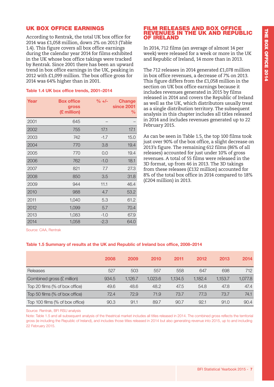#### UK BOX OFFICE EARNINGS

According to Rentrak, the total UK box office for 2014 was £1,058 million, down 2% on 2013 (Table 1.4). This figure covers all box office earnings during the calendar year 2014 for films exhibited in the UK whose box office takings were tracked by Rentrak. Since 2001 there has been an upward trend in box office earnings in the UK, peaking in 2012 with £1,099 million. The box office gross for 2014 was 64% higher than in 2001.

#### **Table 1.4 UK box office trends, 2001–2014**

| Year | <b>Box office</b><br>gross<br>(£ million) | $\% +/-$ | <b>Change</b><br>since 2001<br>℅ |
|------|-------------------------------------------|----------|----------------------------------|
| 2001 | 645                                       |          |                                  |
| 2002 | 755                                       | 17.1     | 17.1                             |
| 2003 | 742                                       | $-1.7$   | 15.0                             |
| 2004 | 770                                       | 3.8      | 19.4                             |
| 2005 | 770                                       | 0.0      | 19.4                             |
| 2006 | 762                                       | $-1.0$   | 18.1                             |
| 2007 | 821                                       | 7.7      | 27.3                             |
| 2008 | 850                                       | 3.5      | 31.8                             |
| 2009 | 944                                       | 11.1     | 46.4                             |
| 2010 | 988                                       | 4.7      | 53.2                             |
| 2011 | 1,040                                     | 5.3      | 61.2                             |
| 2012 | 1,099                                     | 5.7      | 70.4                             |
| 2013 | 1,083                                     | $-1.0$   | 67.9                             |
| 2014 | 1,058                                     | $-2.3$   | 64.0                             |

#### FILM RELEASES AND BOX OFFICE REVENUES IN THE UK AND REPUBLIC OF IRELAND

In 2014, 712 films (an average of almost 14 per week) were released for a week or more in the UK and Republic of Ireland, 14 more than in 2013.

The 712 releases in 2014 generated £1,078 million in box office revenues, a decrease of 7% on 2013. This figure differs from the £1,058 million in the section on UK box office earnings because it includes revenues generated in 2015 by films released in 2014 and covers the Republic of Ireland as well as the UK, which distributors usually treat as a single distribution territory. The subsequent analysis in this chapter includes all titles released in 2014 and includes revenues generated up to 22 February 2015.

As can be seen in Table 1.5, the top 100 films took just over 90% of the box office, a slight decrease on 2013's figure. The remaining 612 films (86% of all releases) accounted for just under 10% of gross revenues. A total of 55 films were released in the 3D format, up from 46 in 2013. The 3D takings from these releases (£132 million) accounted for 8% of the total box office in 2014 compared to 18% (£204 million) in 2013.

Source: CAA, Rentrak

#### **Table 1.5 Summary of results at the UK and Republic of Ireland box office, 2008–2014**

|                                 | 2008  | 2009    | 2010    | 2011    | 2012    | 2013    | 2014    |
|---------------------------------|-------|---------|---------|---------|---------|---------|---------|
| Releases                        | 527   | 503     | 557     | 558     | 647     | 698     | 712     |
| Combined gross (£ million)      | 934.5 | 1,126.7 | 1,023.6 | 1.134.5 | 1,182.4 | 1,153.7 | 1,077.8 |
| Top 20 films (% of box office)  | 49.6  | 48.6    | 48.2    | 47.5    | 54.8    | 47.8    | 47.4    |
| Top 50 films (% of box office)  | 72.4  | 72.9    | 71.9    | 73.7    | 77.3    | 73.7    | 74.1    |
| Top 100 films (% of box office) | 90.3  | 91.1    | 89.7    | 90.7    | 92.1    | 91.0    | 90.4    |

Source: Rentrak, BFI RSU analysis

Note: Table 1.5 and all subsequent analysis of the theatrical market includes all titles released in 2014. The combined gross reflects the territorial gross (ie including the Republic of Ireland), and includes those titles released in 2014 but also generating revenue into 2015, up to and including 22 February 2015.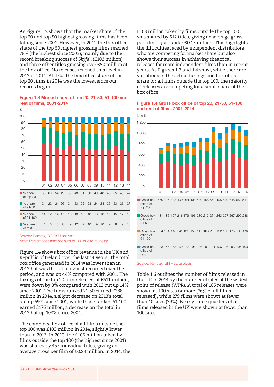As Figure 1.3 shows that the market share of the top 20 and top 50 highest grossing films has been falling since 2001. However, in 2012 the box office share of the top 50 highest grossing films reached 78% (the highest since 2003), mainly due to the record breaking success of *Skyfall* (£103 million) and three other titles grossing over £50 million at the box office. No releases reached this level in 2013 or 2014. At 47%, the box office share of the top 20 films in 2014 was the lowest since our records began.

#### **Figure 1.3 Market share of top 20, 21-50, 51-100 and rest of films, 2001-2014**



Source: Rentrak, BFI RSU analysis Note: Percentages may not sum to 100 due to rounding.

Figure 1.4 shows box office revenue in the UK and Republic of Ireland over the last 14 years. The total box office generated in 2014 was lower than in 2013 but was the fifth highest recorded over the period, and was up 44% compared with 2001. The takings of the top 20 film releases, at £511 million, were down by 8% compared with 2013 but up 14% since 2001. The films ranked 21-50 earned £288 million in 2014, a slight decrease on 2013's total but up 59% since 2001, while those ranked 51-100 earned £176 million, a decrease on the total in 2013 but up 108% since 2001.

The combined box office of all films outside the top 100 was £103 million in 2014, slightly lower than in 2013. In 2010, the £106 million taken by films outside the top 100 (the highest since 2001) was shared by 457 individual titles, giving an average gross per film of £0.23 million. In 2014, the £103 million taken by films outside the top 100 was shared by 612 titles, giving an average gross per film of just under £0.17 million. This highlights the difficulties faced by independent distributors who are competing for market share but also shows their success in achieving theatrical releases for more independent films than in recent years. As Figures 1.3 and 1.4 show, while there are variations in the actual takings and box office share for all films outside the top 100, the majority of releases are competing for a small share of the box office.

#### **Figure 1.4 Gross box office of top 20, 21-50, 51-100 and rest of films, 2001-2014**

Gross box 450 495 438 409 464 408 480 465 559 495 539 648 551 511 £ million  $\cap$  $200$ 400 600 800 01 02 03 04 05 06 07 08 09 10 11 12 13 14 1,000 1,200

office of top 20 Gross box 181 186 197 216 179 196 230 213 274 243 297 267 299 288 office of 21-50

**Gross box** office of 51-100 84 101 118 141 135 150 142 168 206 182 193 175 199 176

**Gross hox** office of rest 33 47 63 62 72 98 86 91 101 106 106 93 104 103

Source: Rentrak, BFI RSU analysis

Table 1.6 outlines the number of films released in the UK in 2014 by the number of sites at the widest point of release (WPR). A total of 185 releases were shown at 100 sites or more (26% of all films released), while 279 films were shown at fewer than 10 sites (39%). Nearly three quarters of all films released in the UK were shown at fewer than 100 sites.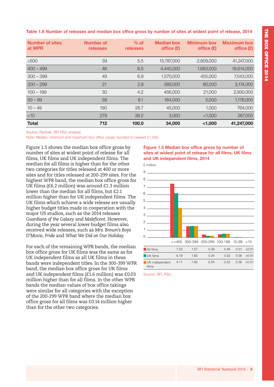**Table 1.6 Number of releases and median box office gross by number of sites at widest point of release, 2014**

| <b>Number of sites</b><br>at WPR | Number of<br>releases | $%$ of<br>releases | <b>Median box</b><br>office $(E)$ | <b>Minimum box</b><br>office $(E)$ | <b>Maximum box</b><br>office $(E)$ |
|----------------------------------|-----------------------|--------------------|-----------------------------------|------------------------------------|------------------------------------|
| $\geq$ 500                       | 39                    | 5.5                | 15,787,000                        | 2,809,000                          | 41,247,000                         |
| $400 - 499$                      | 46                    | 6.5                | 4,440,000                         | 1,683,000                          | 18,614,000                         |
| $300 - 399$                      | 49                    | 6.9                | 1,570,000                         | 455,000                            | 7,043,000                          |
| $200 - 299$                      | 21                    | 2.9                | 389,000                           | 80,000                             | 3,174,000                          |
| $100 - 199$                      | 30                    | 4.2                | 456,000                           | 21,000                             | 2,930,000                          |
| $50 - 99$                        | 58                    | 8.1                | 164,000                           | 5,000                              | 1,176,000                          |
| $10 - 49$                        | 190                   | 26.7               | 45,000                            | 1,000                              | 764,000                            |
| $<$ 10                           | 279                   | 39.2               | 3,000                             | < 1,000                            | 267,000                            |
| <b>Total</b>                     | 712                   | 100.0              | 34,000                            | < 1,000                            | 41,247,000                         |

Source: Rentrak, BFI RSU analysis

Note: Median, minimum and maximum box office values rounded to nearest £1,000.

Figure 1.5 shows the median box office gross by number of sites at widest point of release for all films, UK films and UK independent films. The median for all films is higher than for the other two categories for titles released at 400 or more sites and for titles released at 200-299 sites. For the highest WPR band, the median box office gross for UK films (£6.2 million) was around £1.3 million lower than the median for all films, but £2.1 million higher than for UK independent films. The UK films which achieve a wide release are usually higher budget titles made in cooperation with the major US studios, such as the 2014 releases *Guardians of the Galaxy* and *Maleficent*. However, during the year several lower budget films also received wide releases, such as *Mrs. Brown's Boys D'Movie*, *Pride* and *What We Did on Our Holiday.* 

For each of the remaining WPR bands, the median box office gross for UK films was the same as for UK independent films as all UK films in these bands were independent titles. In the 300-399 WPR band, the median box office gross for UK films and UK independent films (£1.6 million) was £0.03 million higher than for all films. In the other WPR bands the median values of box office takings were similar for all categories with the exception of the 200-299 WPR band where the median box office gross for all films was £0.14 million higher than for the other two categories.

#### **Figure 1.5 Median box office gross by number of sites at widest point of release for all films, UK films and UK independent films, 2014**



Source: BFI, RSU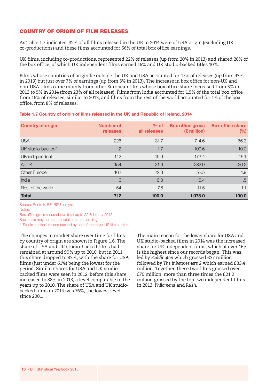#### COUNTRY OF ORIGIN OF FILM RELEASES

As Table 1.7 indicates, 32% of all films released in the UK in 2014 were of USA origin (excluding UK co-productions) and these films accounted for 66% of total box office earnings.

UK films, including co-productions, represented 22% of releases (up from 20% in 2013) and shared 26% of the box office, of which UK independent films earned 16% and UK studio-backed titles 10%.

Films whose countries of origin lie outside the UK and USA accounted for 47% of releases (up from 45% in 2013) but just over 7% of earnings (up from 5% in 2013). The increase in box office for non-UK and non-USA films came mainly from other European films whose box office share increased from 3% in 2013 to 5% in 2014 (from 23% of all releases). Films from India accounted for 1.5% of the total box office from 16% of releases, similar to 2013, and films from the rest of the world accounted for 1% of the box office, from 8% of releases.

|  |  |  |  | Table 1.7 Country of origin of films released in the UK and Republic of Ireland, 2014 |  |
|--|--|--|--|---------------------------------------------------------------------------------------|--|
|--|--|--|--|---------------------------------------------------------------------------------------|--|

| <b>Country of origin</b> | <b>Number of</b><br>releases | $%$ of<br>all releases | <b>Box office gross</b><br>(£ million) | <b>Box office share</b><br>$(\%)$ |
|--------------------------|------------------------------|------------------------|----------------------------------------|-----------------------------------|
| <b>USA</b>               | 226                          | 31.7                   | 714.6                                  | 66.3                              |
| UK studio-backed*        | 12                           | 1.7                    | 109.6                                  | 10.2                              |
| UK independent           | 142                          | 19.9                   | 173.4                                  | 16.1                              |
| All UK                   | 154                          | 21.6                   | 282.9                                  | 26.2                              |
| Other Europe             | 162                          | 22.8                   | 52.5                                   | 4.9                               |
| India                    | 116                          | 16.3                   | 16.4                                   | 1.5                               |
| Rest of the world        | 54                           | 7.6                    | 11.5                                   | 1.1                               |
| <b>Total</b>             | 712                          | 100.0                  | 1,078.0                                | 100.0                             |

Source: Rentrak, BFI RSU analysis

Notes:

Box office gross = cumulative total up to 22 February 2015.

Sub-totals may not sum to totals due to rounding.

\* 'Studio-backed' means backed by one of the major US film studios.

The changes in market share over time for films by country of origin are shown in Figure 1.6. The share of USA and UK studio-backed films had remained at around 90% up to 2010, but in 2011 this share dropped to 83%, with the share for USA films (just under 61%) being the lowest for the period. Similar shares for USA and UK studiobacked films were seen in 2012, before this share increased to 88% in 2013, a level comparable to the years up to 2010. The share of USA and UK studiobacked films in 2014 was 76%, the lowest level since 2001.

The main reason for the lower share for USA and UK studio-backed films in 2014 was the increased share for UK independent films, which at over 16% is the highest since our records began. This was led by *Paddington* which grossed £37 million followed by *The Inbetweeners 2* which earned £33.4 million. Together, these two films grossed over £70 million, more than three times the £21.2 million grossed by the top two independent films in 2013, *Philomena* and *Rush.*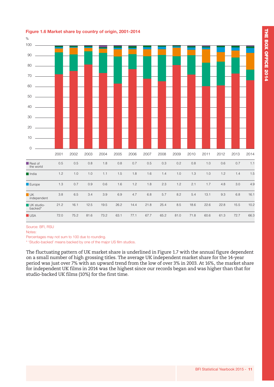| 100                              |         |         |         |         |      |         |         |         |         |      |         |         |      |      |
|----------------------------------|---------|---------|---------|---------|------|---------|---------|---------|---------|------|---------|---------|------|------|
| 90                               |         |         |         |         |      |         |         |         |         |      |         |         |      |      |
| 80                               |         |         |         |         |      |         |         |         |         |      |         |         |      |      |
| 70                               |         |         |         |         |      |         |         |         |         |      |         |         |      |      |
| 60                               |         |         |         |         |      |         |         |         |         |      |         |         |      |      |
| 50                               |         |         |         |         |      |         |         |         |         |      |         |         |      |      |
| 40                               |         |         |         |         |      |         |         |         |         |      |         |         |      |      |
| 30                               |         |         |         |         |      |         |         |         |         |      |         |         |      |      |
| 20                               |         |         |         |         |      |         |         |         |         |      |         |         |      |      |
| 10                               |         |         |         |         |      |         |         |         |         |      |         |         |      |      |
| $\mathbb O$                      |         |         |         |         |      |         |         |         |         |      |         |         |      |      |
|                                  | 2001    | 2002    | 2003    | 2004    | 2005 | 2006    | 2007    | 2008    | 2009    | 2010 | 2011    | 2012    | 2013 | 2014 |
| Rest of<br>the world             | $0.5\,$ | $0.5\,$ | $0.8\,$ | 1.8     | 0.8  | 0.7     | $0.5\,$ | 0.3     | 0.2     | 0.8  | $1.0$   | $0.6\,$ | 0.7  | 1.1  |
| India                            | 1.2     | $1.0$   | $1.0$   | 1.1     | 1.5  | 1.8     | 1.6     | 1.4     | $1.0$   | 1.3  | $1.0$   | 1.2     | 1.4  | 1.5  |
| Europe                           | $1.3$   | 0.7     | $0.9\,$ | $0.6\,$ | 1.6  | $1.2\,$ | 1.8     | $2.3\,$ | $1.2$   | 2.1  | $1.7\,$ | $4.8\,$ | 3.0  | 4.9  |
| $\blacksquare$ UK<br>independent | 3.8     | 6.5     | 3.4     | 3.9     | 6.9  | 4.7     | 6.8     | 5.7     | $8.2\,$ | 5.4  | 13.1    | 9.3     | 6.8  | 16.1 |
| UK studio-<br>backed*            | 21.2    | 16.1    | 12.5    | 19.5    | 26.2 | 14.4    | 21.8    | 25.4    | 8.5     | 18.6 | 22.6    | 22.8    | 15.5 | 10.2 |
| <b>USA</b>                       | 72.0    | 75.2    | 81.6    | 73.2    | 63.1 | 77.1    | 67.7    | 65.2    | 81.0    | 71.8 | 60.6    | 61.3    | 72.7 | 66.3 |

#### **Figure 1.6 Market share by country of origin, 2001-2014**

%

Source: BFI, RSU

Notes:

Percentages may not sum to 100 due to rounding.

\* 'Studio-backed' means backed by one of the major US film studios.

The fluctuating pattern of UK market share is underlined in Figure 1.7 with the annual figure dependent on a small number of high grossing titles. The average UK independent market share for the 14-year period was just over 7% with an upward trend from the low of over 3% in 2003. At 16%, the market share for independent UK films in 2014 was the highest since our records began and was higher than that for studio-backed UK films (10%) for the first time.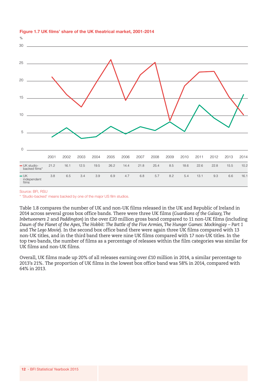

#### **Figure 1.7 UK films' share of the UK theatrical market, 2001-2014**

Source: BFI, RSU

\* 'Studio-backed' means backed by one of the major US film studios.

Table 1.8 compares the number of UK and non-UK films released in the UK and Republic of Ireland in 2014 across several gross box office bands. There were three UK films (*Guardians of the Galaxy, The Inbetweeners 2* and *Paddington*) in the over £20 million gross band compared to 11 non-UK films (including *Dawn of the Planet of the Apes, The Hobbit: The Battle of the Five Armies, The Hunger Games: Mockingjay – Part 1* and *The Lego Movie*). In the second box office band there were again three UK films compared with 13 non-UK titles, and in the third band there were nine UK films compared with 17 non-UK titles. In the top two bands, the number of films as a percentage of releases within the film categories was similar for UK films and non-UK films.

Overall, UK films made up 20% of all releases earning over £10 million in 2014, a similar percentage to 2013's 21%. The proportion of UK films in the lowest box office band was 58% in 2014, compared with 64% in 2013.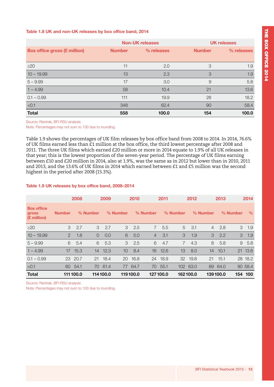#### **Table 1.8 UK and non-UK releases by box office band, 2014**

|                                     |               | <b>Non-UK releases</b> |     | <b>UK releases</b> |
|-------------------------------------|---------------|------------------------|-----|--------------------|
| <b>Box office gross (£ million)</b> | <b>Number</b> | % releases             |     | % releases         |
|                                     |               |                        |     |                    |
| $\geq$ 20                           | 11            | 2.0                    | 3   | 1.9                |
| $10 - 19.99$                        | 13            | 2.3                    | 3   | 1.9                |
| $5 - 9.99$                          | 17            | 3.0                    | 9   | 5.8                |
| $1 - 4.99$                          | 58            | 10.4                   | 21  | 13.6               |
| $0.1 - 0.99$                        | 111           | 19.9                   | 28  | 18.2               |
| < 0.1                               | 348           | 62.4                   | 90  | 58.4               |
| <b>Total</b>                        | 558           | 100.0                  | 154 | 100.0              |

Source: Rentrak, BFI RSU analysis

Note: Percentages may not sum to 100 due to rounding.

Table 1.9 shows the percentages of UK film releases by box office band from 2008 to 2014. In 2014, 76.6% of UK films earned less than £1 million at the box office, the third lowest percentage after 2008 and 2011. The three UK films which earned £20 million or more in 2014 equate to 1.9% of all UK releases in that year; this is the lowest proportion of the seven-year period. The percentage of UK films earning between £10 and £20 million in 2014, also at 1.9%, was the same as in 2012 but lower than in 2010, 2011 and 2013, and the 13.6% of UK films in 2014 which earned between £1 and £5 million was the second highest in the period after 2008 (15.3%).

#### **Table 1.9 UK releases by box office band, 2008–2014**

|                                           |               | 2008      |          | 2009     |                 | 2010     |                | 2011     |                | 2012     |                | 2013     |          | 2014    |
|-------------------------------------------|---------------|-----------|----------|----------|-----------------|----------|----------------|----------|----------------|----------|----------------|----------|----------|---------|
| <b>Box office</b><br>gross<br>(£ million) | <b>Number</b> |           | % Number |          | % Number        |          | % Number       |          | % Number       |          | % Number       |          | % Number | $\%$    |
| $\geq$ 20                                 | 3             | 2.7       | 3        | 2.7      | 3               | 2.5      | $\overline{7}$ | 5.5      | 5              | 3.1      | $\overline{4}$ | 2.8      | 3        | 1.9     |
| $10 - 19.99$                              | $\mathcal{P}$ | 1.8       | $\Omega$ | 0.0      | 6               | 5.0      | $\overline{4}$ | 3.1      | 3              | 1.9      | 3              | 2.2      | 3        | 1.9     |
| $5 - 9.99$                                | 6             | 5.4       | 6        | 5.3      | 3               | 2.5      | 6              | 4.7      | $\overline{7}$ | 4.3      | 8              | 5.8      | 9        | 5.8     |
| $1 - 4.99$                                | 17            | 15.3      | 14       | 12.3     | 10 <sup>°</sup> | 8.4      | 16             | 12.6     | 13             | 8.0      | 14             | 10.1     |          | 21 13.6 |
| $0.1 - 0.99$                              |               | 23 20.7   | 21       | 18.4     | 20              | 16.8     |                | 24 18.9  |                | 32 19.8  | 21             | 15.1     |          | 28 18.2 |
| < 0.1                                     | 60            | 54.1      | 70       | 61.4     | 77              | 64.7     | 70             | 55.1     |                | 102 63.0 | 89             | 64.0     |          | 90 58.4 |
| <b>Total</b>                              |               | 111 100.0 |          | 114100.0 |                 | 119100.0 |                | 127100.0 |                | 162100.0 |                | 139100.0 |          | 154 100 |

Source: Rentrak, BFI RSU analysis Note: Percentages may not sum to 100 due to rounding.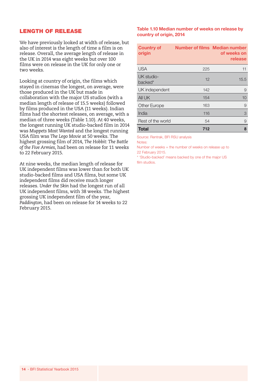#### LENGTH OF RELEASE

We have previously looked at width of release, but also of interest is the length of time a film is on release. Overall, the average length of release in the UK in 2014 was eight weeks but over 100 films were on release in the UK for only one or two weeks.

Looking at country of origin, the films which stayed in cinemas the longest, on average, were those produced in the UK but made in collaboration with the major US studios (with a median length of release of 15.5 weeks) followed by films produced in the USA (11 weeks). Indian films had the shortest releases, on average, with a median of three weeks (Table 1.10). At 40 weeks, the longest running UK studio-backed film in 2014 was *Muppets Most Wanted* and the longest running USA film was *The Lego Movie* at 50 weeks. The highest grossing film of 2014, *The Hobbit: The Battle of the Five Armies,* had been on release for 11 weeks to 22 February 2015.

At nine weeks, the median length of release for UK independent films was lower than for both UK studio-backed films and USA films, but some UK independent films did receive much longer releases. *Under the Skin* had the longest run of all UK independent films, with 38 weeks. The highest grossing UK independent film of the year, *Paddington*, had been on release for 14 weeks to 22 February 2015.

#### **Table 1.10 Median number of weeks on release by country of origin, 2014**

| <b>Country of</b><br>origin | <b>Number of films Median number</b> | of weeks on<br>release |
|-----------------------------|--------------------------------------|------------------------|
| <b>USA</b>                  | 225                                  | 11                     |
| UK studio-<br>backed*       | 12                                   | 15.5                   |
| UK independent              | 142                                  | 9                      |
| All UK                      | 154                                  | 10                     |
| Other Europe                | 163                                  | 9                      |
| India                       | 116                                  | 3                      |
| Rest of the world           | 54                                   | 9                      |
| <b>Total</b>                | 712                                  | 8                      |

Source: Rentrak, BFI RSU analysis

Notes:

Number of weeks = the number of weeks on release up to 22 February 2015.

\* 'Studio-backed' means backed by one of the major US film studios.